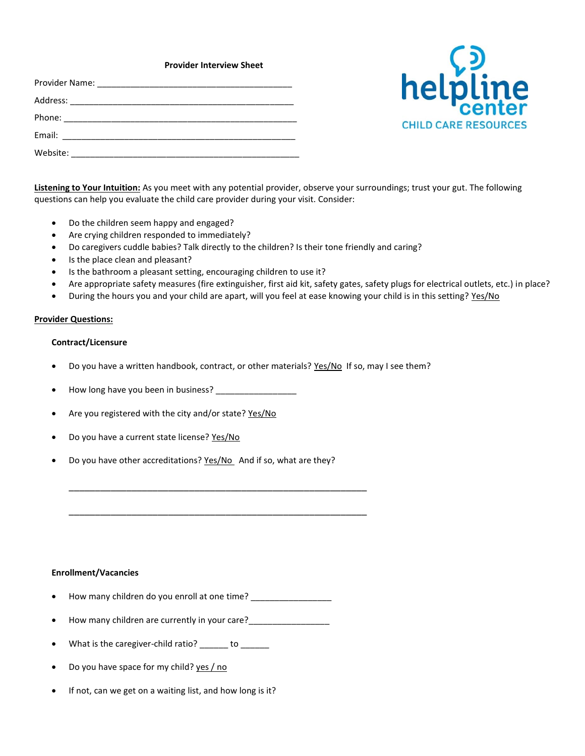## **Provider Interview Sheet**

| Website: _____________________ |
|--------------------------------|



**Listening to Your Intuition:** As you meet with any potential provider, observe your surroundings; trust your gut. The following questions can help you evaluate the child care provider during your visit. Consider:

- Do the children seem happy and engaged?
- Are crying children responded to immediately?
- Do caregivers cuddle babies? Talk directly to the children? Is their tone friendly and caring?
- Is the place clean and pleasant?
- Is the bathroom a pleasant setting, encouraging children to use it?
- Are appropriate safety measures (fire extinguisher, first aid kit, safety gates, safety plugs for electrical outlets, etc.) in place?
- During the hours you and your child are apart, will you feel at ease knowing your child is in this setting? Yes/No

### **Provider Questions:**

### **Contract/Licensure**

- Do you have a written handbook, contract, or other materials? Yes/No If so, may I see them?
- How long have you been in business? \_\_\_\_\_\_\_\_\_\_\_\_\_\_\_\_\_
- Are you registered with the city and/or state? Yes/No
- Do you have a current state license? Yes/No
- Do you have other accreditations? Yes/No And if so, what are they?

\_\_\_\_\_\_\_\_\_\_\_\_\_\_\_\_\_\_\_\_\_\_\_\_\_\_\_\_\_\_\_\_\_\_\_\_\_\_\_\_\_\_\_\_\_\_\_\_\_\_\_\_\_\_\_\_\_

\_\_\_\_\_\_\_\_\_\_\_\_\_\_\_\_\_\_\_\_\_\_\_\_\_\_\_\_\_\_\_\_\_\_\_\_\_\_\_\_\_\_\_\_\_\_\_\_\_\_\_\_\_\_\_\_\_

## **Enrollment/Vacancies**

- How many children do you enroll at one time?
- How many children are currently in your care?\_\_\_\_\_\_\_\_\_\_\_\_\_\_\_\_\_
- What is the caregiver-child ratio? \_\_\_\_\_\_ to \_\_\_\_\_\_
- Do you have space for my child? yes / no
- If not, can we get on a waiting list, and how long is it?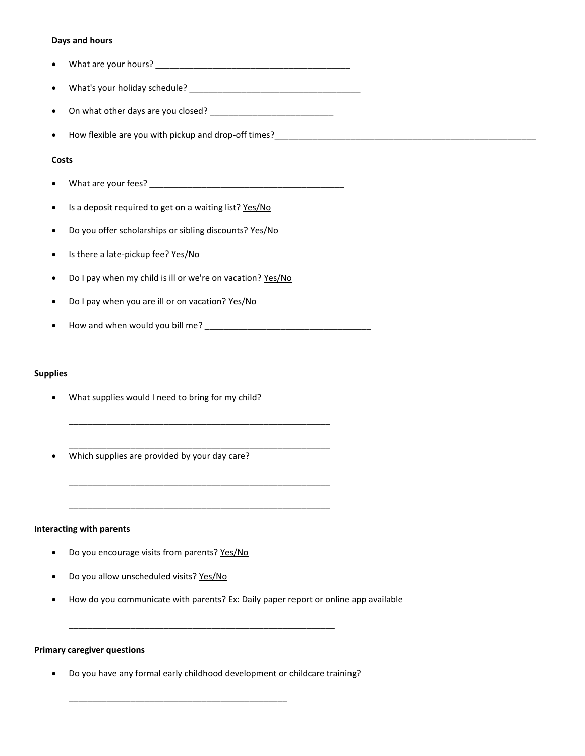## **Days and hours**

- What are your hours? \_\_\_\_\_\_\_\_\_\_\_\_\_\_\_\_\_\_\_\_\_\_\_\_\_\_\_\_\_\_\_\_\_\_\_\_\_\_\_\_\_
- What's your holiday schedule? \_\_\_\_\_\_\_\_\_\_\_\_\_\_\_\_\_\_\_\_\_\_\_\_\_\_\_\_\_\_\_\_\_\_\_\_
- On what other days are you closed? \_\_\_\_\_\_\_\_\_\_\_\_\_\_\_\_\_\_\_\_\_\_\_\_\_\_
- How flexible are you with pickup and drop-off times?\_\_\_\_\_\_\_\_\_\_\_\_\_\_\_\_\_\_\_\_\_\_\_\_\_\_\_\_\_\_\_\_\_\_\_\_\_\_\_\_\_\_\_\_\_\_\_\_\_\_\_\_\_\_\_

## **Costs**

- What are your fees? \_\_\_\_\_\_\_\_\_\_\_\_\_\_\_\_\_\_\_\_\_\_\_\_\_\_\_\_\_\_\_\_\_\_\_\_\_\_\_\_\_
- Is a deposit required to get on a waiting list? Yes/No
- Do you offer scholarships or sibling discounts? Yes/No
- Is there a late-pickup fee? Yes/No
- Do I pay when my child is ill or we're on vacation? Yes/No
- Do I pay when you are ill or on vacation? Yes/No
- How and when would you bill me? \_\_\_\_\_\_\_\_\_\_\_\_\_\_\_\_\_\_\_\_\_\_\_\_\_\_\_\_\_\_\_\_\_\_\_

\_\_\_\_\_\_\_\_\_\_\_\_\_\_\_\_\_\_\_\_\_\_\_\_\_\_\_\_\_\_\_\_\_\_\_\_\_\_\_\_\_\_\_\_\_\_\_\_\_\_\_\_\_\_\_

\_\_\_\_\_\_\_\_\_\_\_\_\_\_\_\_\_\_\_\_\_\_\_\_\_\_\_\_\_\_\_\_\_\_\_\_\_\_\_\_\_\_\_\_\_\_\_\_\_\_\_\_\_\_\_

\_\_\_\_\_\_\_\_\_\_\_\_\_\_\_\_\_\_\_\_\_\_\_\_\_\_\_\_\_\_\_\_\_\_\_\_\_\_\_\_\_\_\_\_\_\_\_\_\_\_\_\_\_\_\_

\_\_\_\_\_\_\_\_\_\_\_\_\_\_\_\_\_\_\_\_\_\_\_\_\_\_\_\_\_\_\_\_\_\_\_\_\_\_\_\_\_\_\_\_\_\_\_\_\_\_\_\_\_\_\_

### **Supplies**

- What supplies would I need to bring for my child?
- Which supplies are provided by your day care?

# **Interacting with parents**

- Do you encourage visits from parents? Yes/No
- Do you allow unscheduled visits? Yes/No
- How do you communicate with parents? Ex: Daily paper report or online app available

### **Primary caregiver questions**

Do you have any formal early childhood development or childcare training?

\_\_\_\_\_\_\_\_\_\_\_\_\_\_\_\_\_\_\_\_\_\_\_\_\_\_\_\_\_\_\_\_\_\_\_\_\_\_\_\_\_\_\_\_\_\_

\_\_\_\_\_\_\_\_\_\_\_\_\_\_\_\_\_\_\_\_\_\_\_\_\_\_\_\_\_\_\_\_\_\_\_\_\_\_\_\_\_\_\_\_\_\_\_\_\_\_\_\_\_\_\_\_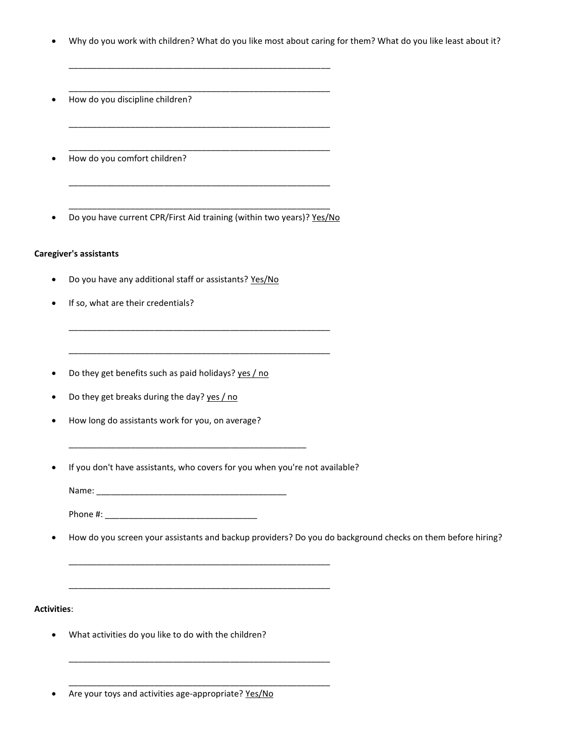- Why do you work with children? What do you like most about caring for them? What do you like least about it?
- How do you discipline children?
- How do you comfort children?
- \_\_\_\_\_\_\_\_\_\_\_\_\_\_\_\_\_\_\_\_\_\_\_\_\_\_\_\_\_\_\_\_\_\_\_\_\_\_\_\_\_\_\_\_\_\_\_\_\_\_\_\_\_\_\_ • Do you have current CPR/First Aid training (within two years)? Yes/No

\_\_\_\_\_\_\_\_\_\_\_\_\_\_\_\_\_\_\_\_\_\_\_\_\_\_\_\_\_\_\_\_\_\_\_\_\_\_\_\_\_\_\_\_\_\_\_\_\_\_\_\_\_\_\_

\_\_\_\_\_\_\_\_\_\_\_\_\_\_\_\_\_\_\_\_\_\_\_\_\_\_\_\_\_\_\_\_\_\_\_\_\_\_\_\_\_\_\_\_\_\_\_\_\_\_\_\_\_\_\_

\_\_\_\_\_\_\_\_\_\_\_\_\_\_\_\_\_\_\_\_\_\_\_\_\_\_\_\_\_\_\_\_\_\_\_\_\_\_\_\_\_\_\_\_\_\_\_\_\_\_\_\_\_\_\_

\_\_\_\_\_\_\_\_\_\_\_\_\_\_\_\_\_\_\_\_\_\_\_\_\_\_\_\_\_\_\_\_\_\_\_\_\_\_\_\_\_\_\_\_\_\_\_\_\_\_\_\_\_\_\_

\_\_\_\_\_\_\_\_\_\_\_\_\_\_\_\_\_\_\_\_\_\_\_\_\_\_\_\_\_\_\_\_\_\_\_\_\_\_\_\_\_\_\_\_\_\_\_\_\_\_\_\_\_\_\_

\_\_\_\_\_\_\_\_\_\_\_\_\_\_\_\_\_\_\_\_\_\_\_\_\_\_\_\_\_\_\_\_\_\_\_\_\_\_\_\_\_\_\_\_\_\_\_\_\_\_\_\_\_\_\_

\_\_\_\_\_\_\_\_\_\_\_\_\_\_\_\_\_\_\_\_\_\_\_\_\_\_\_\_\_\_\_\_\_\_\_\_\_\_\_\_\_\_\_\_\_\_\_\_\_\_\_\_\_\_\_

### **Caregiver's assistants**

- Do you have any additional staff or assistants? Yes/No
- If so, what are their credentials?
- Do they get benefits such as paid holidays? yes / no
- Do they get breaks during the day? yes / no
- How long do assistants work for you, on average?
- If you don't have assistants, who covers for you when you're not available?

\_\_\_\_\_\_\_\_\_\_\_\_\_\_\_\_\_\_\_\_\_\_\_\_\_\_\_\_\_\_\_\_\_\_\_\_\_\_\_\_\_\_\_\_\_\_\_\_\_\_\_\_\_\_\_

\_\_\_\_\_\_\_\_\_\_\_\_\_\_\_\_\_\_\_\_\_\_\_\_\_\_\_\_\_\_\_\_\_\_\_\_\_\_\_\_\_\_\_\_\_\_\_\_\_\_\_\_\_\_\_

\_\_\_\_\_\_\_\_\_\_\_\_\_\_\_\_\_\_\_\_\_\_\_\_\_\_\_\_\_\_\_\_\_\_\_\_\_\_\_\_\_\_\_\_\_\_\_\_\_\_\_\_\_\_\_

\_\_\_\_\_\_\_\_\_\_\_\_\_\_\_\_\_\_\_\_\_\_\_\_\_\_\_\_\_\_\_\_\_\_\_\_\_\_\_\_\_\_\_\_\_\_\_\_\_\_\_\_\_\_\_

Name: $\_$ 

\_\_\_\_\_\_\_\_\_\_\_\_\_\_\_\_\_\_\_\_\_\_\_\_\_\_\_\_\_\_\_\_\_\_\_\_\_\_\_\_\_\_\_\_\_\_\_\_\_\_

Phone #:

How do you screen your assistants and backup providers? Do you do background checks on them before hiring?

## **Activities**:

- What activities do you like to do with the children?
- Are your toys and activities age-appropriate? Yes/No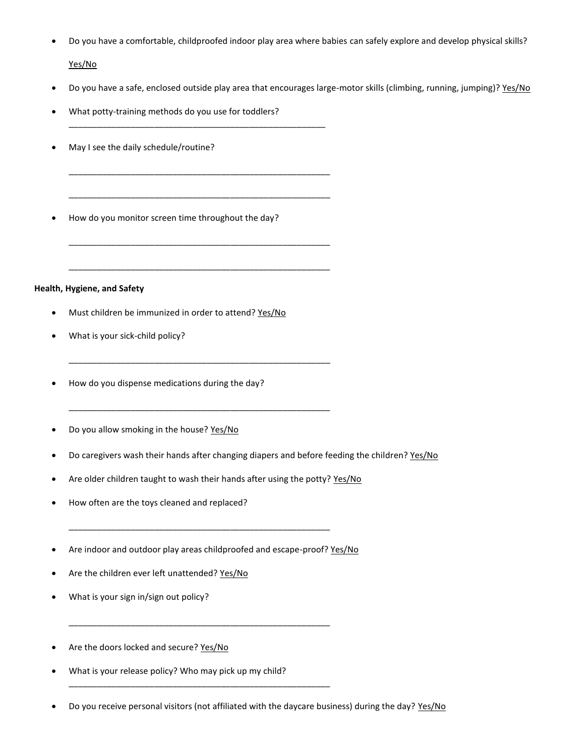Do you have a comfortable, childproofed indoor play area where babies can safely explore and develop physical skills?

Yes/No

- Do you have a safe, enclosed outside play area that encourages large-motor skills (climbing, running, jumping)? Yes/No
- What potty-training methods do you use for toddlers?

\_\_\_\_\_\_\_\_\_\_\_\_\_\_\_\_\_\_\_\_\_\_\_\_\_\_\_\_\_\_\_\_\_\_\_\_\_\_\_\_\_\_\_\_\_\_\_\_\_\_\_\_\_\_

\_\_\_\_\_\_\_\_\_\_\_\_\_\_\_\_\_\_\_\_\_\_\_\_\_\_\_\_\_\_\_\_\_\_\_\_\_\_\_\_\_\_\_\_\_\_\_\_\_\_\_\_\_\_\_

\_\_\_\_\_\_\_\_\_\_\_\_\_\_\_\_\_\_\_\_\_\_\_\_\_\_\_\_\_\_\_\_\_\_\_\_\_\_\_\_\_\_\_\_\_\_\_\_\_\_\_\_\_\_\_

\_\_\_\_\_\_\_\_\_\_\_\_\_\_\_\_\_\_\_\_\_\_\_\_\_\_\_\_\_\_\_\_\_\_\_\_\_\_\_\_\_\_\_\_\_\_\_\_\_\_\_\_\_\_\_

\_\_\_\_\_\_\_\_\_\_\_\_\_\_\_\_\_\_\_\_\_\_\_\_\_\_\_\_\_\_\_\_\_\_\_\_\_\_\_\_\_\_\_\_\_\_\_\_\_\_\_\_\_\_\_

\_\_\_\_\_\_\_\_\_\_\_\_\_\_\_\_\_\_\_\_\_\_\_\_\_\_\_\_\_\_\_\_\_\_\_\_\_\_\_\_\_\_\_\_\_\_\_\_\_\_\_\_\_\_\_

\_\_\_\_\_\_\_\_\_\_\_\_\_\_\_\_\_\_\_\_\_\_\_\_\_\_\_\_\_\_\_\_\_\_\_\_\_\_\_\_\_\_\_\_\_\_\_\_\_\_\_\_\_\_\_

- May I see the daily schedule/routine?
- How do you monitor screen time throughout the day?

### **Health, Hygiene, and Safety**

- Must children be immunized in order to attend? Yes/No
- What is your sick-child policy?
- How do you dispense medications during the day?
- Do you allow smoking in the house? Yes/No
- Do caregivers wash their hands after changing diapers and before feeding the children? Yes/No
- Are older children taught to wash their hands after using the potty? Yes/No
- How often are the toys cleaned and replaced?
- Are indoor and outdoor play areas childproofed and escape-proof? Yes/No

\_\_\_\_\_\_\_\_\_\_\_\_\_\_\_\_\_\_\_\_\_\_\_\_\_\_\_\_\_\_\_\_\_\_\_\_\_\_\_\_\_\_\_\_\_\_\_\_\_\_\_\_\_\_\_

\_\_\_\_\_\_\_\_\_\_\_\_\_\_\_\_\_\_\_\_\_\_\_\_\_\_\_\_\_\_\_\_\_\_\_\_\_\_\_\_\_\_\_\_\_\_\_\_\_\_\_\_\_\_\_

\_\_\_\_\_\_\_\_\_\_\_\_\_\_\_\_\_\_\_\_\_\_\_\_\_\_\_\_\_\_\_\_\_\_\_\_\_\_\_\_\_\_\_\_\_\_\_\_\_\_\_\_\_\_\_

- Are the children ever left unattended? Yes/No
- What is your sign in/sign out policy?
- Are the doors locked and secure? Yes/No
- What is your release policy? Who may pick up my child?
- Do you receive personal visitors (not affiliated with the daycare business) during the day? Yes/No